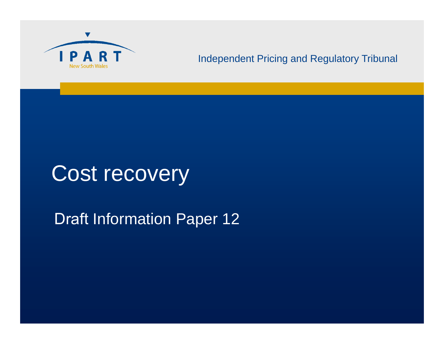

### Independent Pricing and Regulatory Tribunal

# Cost recovery

### Draft Information Paper 12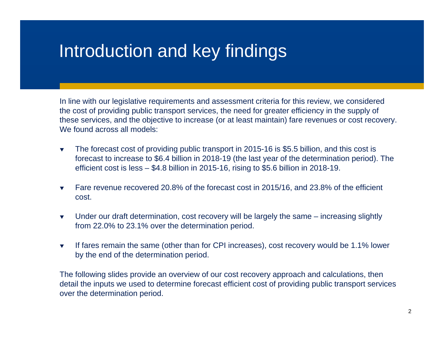## Introduction and key findings

In line with our legislative requirements and assessment criteria for this review, we considered the cost of providing public transport services, the need for greater efficiency in the supply of these services, and the objective to increase (or at least maintain) fare revenues or cost recovery. We found across all models:

- $\blacktriangledown$  The forecast cost of providing public transport in 2015-16 is \$5.5 billion, and this cost is forecast to increase to \$6.4 billion in 2018-19 (the last year of the determination period). The efficient cost is less – \$4.8 billion in 2015-16, rising to \$5.6 billion in 2018-19.
- $\blacktriangledown$  Fare revenue recovered 20.8% of the forecast cost in 2015/16, and 23.8% of the efficient cost.
- $\blacktriangledown$  Under our draft determination, cost recovery will be largely the same – increasing slightly from 22.0% to 23.1% over the determination period.
- $\blacktriangledown$  If fares remain the same (other than for CPI increases), cost recovery would be 1.1% lower by the end of the determination period.

The following slides provide an overview of our cost recovery approach and calculations, then detail the inputs we used to determine forecast efficient cost of providing public transport services over the determination period.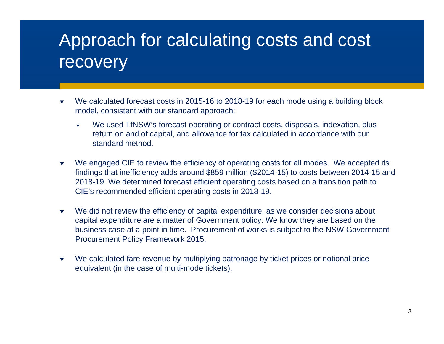# Approach for calculating costs and cost recovery

- $\blacktriangledown$  We calculated forecast costs in 2015-16 to 2018-19 for each mode using a building block model, consistent with our standard approach:
	- ▼ We used TfNSW's forecast operating or contract costs, disposals, indexation, plus return on and of capital, and allowance for tax calculated in accordance with our standard method.
- $\blacktriangledown$ We engaged CIE to review the efficiency of operating costs for all modes. We accepted its findings that inefficiency adds around \$859 million (\$2014-15) to costs between 2014-15 and 2018-19. We determined forecast efficient operating costs based on a transition path to CIE's recommended efficient operating costs in 2018-19.
- $\blacktriangledown$  We did not review the efficiency of capital expenditure, as we consider decisions about capital expenditure are a matter of Government policy. We know they are based on the business case at a point in time. Procurement of works is subject to the NSW Government Procurement Policy Framework 2015.
- $\blacktriangledown$ We calculated fare revenue by multiplying patronage by ticket prices or notional price equivalent (in the case of multi-mode tickets).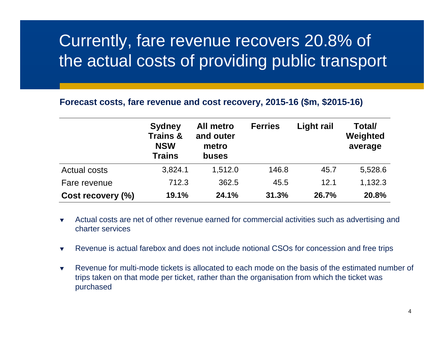## Currently, fare revenue recovers 20.8% of the actual costs of providing public transport

#### **Forecast costs, fare revenue and cost recovery, 2015-16 (\$m, \$2015-16)**

|                     | <b>Sydney</b><br><b>Trains &amp;</b><br><b>NSW</b><br><b>Trains</b> | <b>All metro</b><br>and outer<br>metro<br>buses | <b>Ferries</b> | Light rail | Total/<br>Weighted<br>average |
|---------------------|---------------------------------------------------------------------|-------------------------------------------------|----------------|------------|-------------------------------|
| <b>Actual costs</b> | 3,824.1                                                             | 1,512.0                                         | 146.8          | 45.7       | 5,528.6                       |
| Fare revenue        | 712.3                                                               | 362.5                                           | 45.5           | 12.1       | 1,132.3                       |
| Cost recovery (%)   | 19.1%                                                               | 24.1%                                           | 31.3%          | 26.7%      | 20.8%                         |

- $\blacktriangledown$  Actual costs are net of other revenue earned for commercial activities such as advertising and charter services
- $\blacktriangledown$ Revenue is actual farebox and does not include notional CSOs for concession and free trips
- $\blacktriangledown$  Revenue for multi-mode tickets is allocated to each mode on the basis of the estimated number of trips taken on that mode per ticket, rather than the organisation from which the ticket was purchased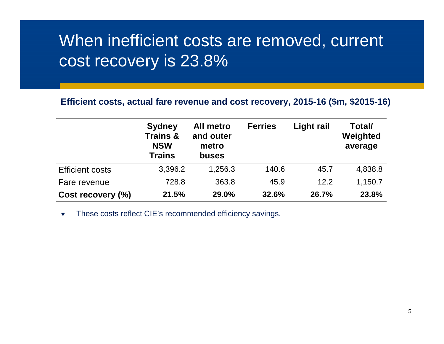## When inefficient costs are removed, current cost recovery is 23.8%

#### **Efficient costs, actual fare revenue and cost recovery, 2015-16 (\$m, \$2015-16)**

|                        | <b>Sydney</b><br><b>Trains &amp;</b><br><b>NSW</b><br><b>Trains</b> | <b>All metro</b><br>and outer<br>metro<br>buses | <b>Ferries</b> | Light rail | Total/<br>Weighted<br>average |
|------------------------|---------------------------------------------------------------------|-------------------------------------------------|----------------|------------|-------------------------------|
| <b>Efficient costs</b> | 3,396.2                                                             | 1,256.3                                         | 140.6          | 45.7       | 4,838.8                       |
| Fare revenue           | 728.8                                                               | 363.8                                           | 45.9           | 12.2       | 1,150.7                       |
| Cost recovery (%)      | 21.5%                                                               | 29.0%                                           | 32.6%          | 26.7%      | 23.8%                         |

 $\blacktriangledown$ These costs reflect CIE's recommended efficiency savings.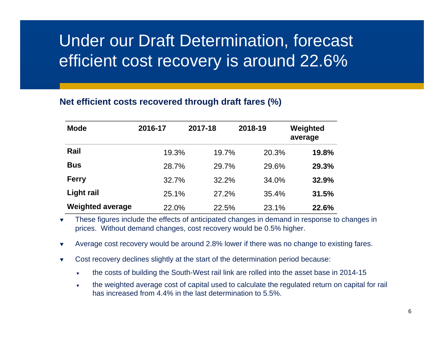## Under our Draft Determination, forecast efficient cost recovery is around 22.6%

#### **Net efficient costs recovered through draft fares (%)**

| <b>Mode</b>             | 2016-17 | 2017-18 | 2018-19 | Weighted<br>average |
|-------------------------|---------|---------|---------|---------------------|
| Rail                    | 19.3%   | 19.7%   | 20.3%   | 19.8%               |
| <b>Bus</b>              | 28.7%   | 29.7%   | 29.6%   | 29.3%               |
| <b>Ferry</b>            | 32.7%   | 32.2%   | 34.0%   | 32.9%               |
| Light rail              | 25.1%   | 27.2%   | 35.4%   | 31.5%               |
| <b>Weighted average</b> | 22.0%   | 22.5%   | 23.1%   | 22.6%               |

 $\blacktriangledown$  These figures include the effects of anticipated changes in demand in response to changes in prices. Without demand changes, cost recovery would be 0.5% higher.

- $\blacktriangledown$ Average cost recovery would be around 2.8% lower if there was no change to existing fares.
- $\blacktriangledown$  Cost recovery declines slightly at the start of the determination period because:
	- $\overline{\mathbf{v}}$ the costs of building the South-West rail link are rolled into the asset base in 2014-15
	- $\overline{\mathbf{v}}$  the weighted average cost of capital used to calculate the regulated return on capital for rail has increased from 4.4% in the last determination to 5.5%.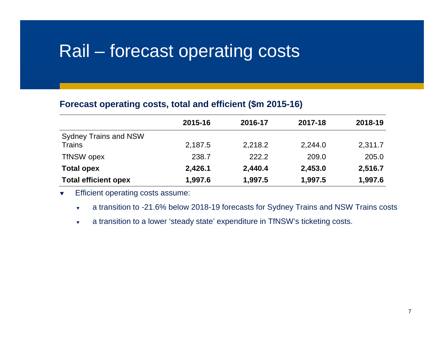### Rail – forecast operating costs

### **Forecast operating costs, total and efficient (\$m 2015-16)**

|                              | 2015-16 | 2016-17 | 2017-18 | 2018-19 |
|------------------------------|---------|---------|---------|---------|
| <b>Sydney Trains and NSW</b> |         |         |         |         |
| <b>Trains</b>                | 2,187.5 | 2,218.2 | 2,244.0 | 2,311.7 |
| <b>TfNSW opex</b>            | 238.7   | 222.2   | 209.0   | 205.0   |
| <b>Total opex</b>            | 2,426.1 | 2,440.4 | 2,453.0 | 2,516.7 |
| <b>Total efficient opex</b>  | 1,997.6 | 1,997.5 | 1,997.5 | 1,997.6 |

 $\blacktriangledown$ Efficient operating costs assume:

- $\overline{\mathbf{v}}$ a transition to -21.6% below 2018-19 forecasts for Sydney Trains and NSW Trains costs
- $\overline{\mathbf{v}}$ a transition to a lower 'steady state' expenditure in TfNSW's ticketing costs.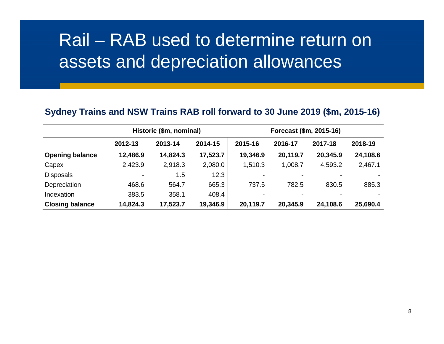## Rail – RAB used to determine return on assets and depreciation allowances

#### **Sydney Trains and NSW Trains RAB roll forward to 30 June 2019 (\$m, 2015-16)**

|                        | Historic (\$m, nominal) |          |          | Forecast (\$m, 2015-16) |          |          |          |
|------------------------|-------------------------|----------|----------|-------------------------|----------|----------|----------|
|                        | 2012-13                 | 2013-14  | 2014-15  | 2015-16                 | 2016-17  | 2017-18  | 2018-19  |
| <b>Opening balance</b> | 12,486.9                | 14,824.3 | 17,523.7 | 19,346.9                | 20,119.7 | 20,345.9 | 24,108.6 |
| Capex                  | 2,423.9                 | 2,918.3  | 2,080.0  | 1,510.3                 | 1,008.7  | 4,593.2  | 2,467.1  |
| <b>Disposals</b>       |                         | 1.5      | 12.3     | ٠                       |          |          |          |
| Depreciation           | 468.6                   | 564.7    | 665.3    | 737.5                   | 782.5    | 830.5    | 885.3    |
| Indexation             | 383.5                   | 358.1    | 408.4    | ٠                       |          |          |          |
| <b>Closing balance</b> | 14,824.3                | 17,523.7 | 19,346.9 | 20,119.7                | 20,345.9 | 24,108.6 | 25,690.4 |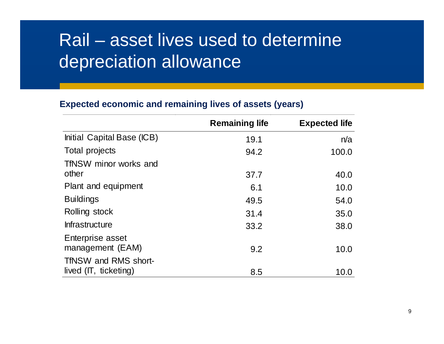# Rail – asset lives used to determine depreciation allowance

### **Expected economic and remaining lives of assets (years)**

|                                                      | <b>Remaining life</b> | <b>Expected life</b> |
|------------------------------------------------------|-----------------------|----------------------|
| Initial Capital Base (ICB)                           | 19.1                  | n/a                  |
| <b>Total projects</b>                                | 94.2                  | 100.0                |
| TfNSW minor works and                                |                       |                      |
| other                                                | 37.7                  | 40.0                 |
| Plant and equipment                                  | 6.1                   | 10.0                 |
| <b>Buildings</b>                                     | 49.5                  | 54.0                 |
| Rolling stock                                        | 31.4                  | 35.0                 |
| <b>Infrastructure</b>                                | 33.2                  | 38.0                 |
| Enterprise asset<br>management (EAM)                 | 9.2                   | 10.0                 |
| <b>TfNSW and RMS short-</b><br>lived (IT, ticketing) | 8.5                   | 10.0                 |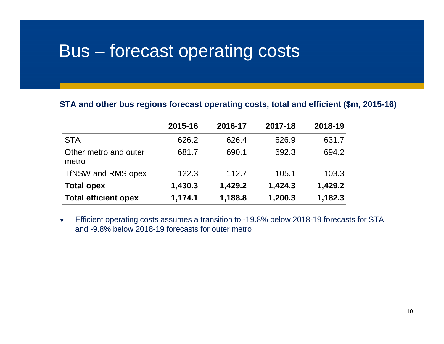### Bus – forecast operating costs

#### **STA and other bus regions forecast operating costs, total and efficient (\$m, 2015-16)**

|                                | 2015-16 | 2016-17 | 2017-18 | 2018-19 |
|--------------------------------|---------|---------|---------|---------|
| <b>STA</b>                     | 626.2   | 626.4   | 626.9   | 631.7   |
| Other metro and outer<br>metro | 681.7   | 690.1   | 692.3   | 694.2   |
| <b>TfNSW and RMS opex</b>      | 122.3   | 112.7   | 105.1   | 103.3   |
| <b>Total opex</b>              | 1,430.3 | 1,429.2 | 1,424.3 | 1,429.2 |
| <b>Total efficient opex</b>    | 1,174.1 | 1,188.8 | 1,200.3 | 1,182.3 |

 $\blacktriangledown$  Efficient operating costs assumes a transition to -19.8% below 2018-19 forecasts for STA and -9.8% below 2018-19 forecasts for outer metro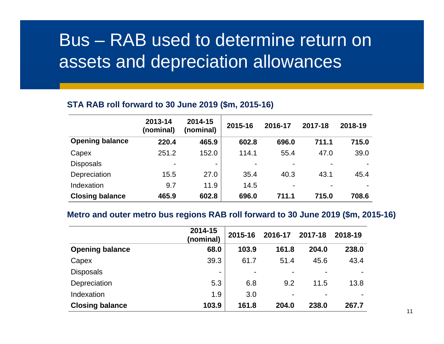## Bus – RAB used to determine return on assets and depreciation allowances

#### **STA RAB roll forward to 30 June 2019 (\$m, 2015-16)**

|                        | 2013-14<br>(nominal) | 2014-15<br>(nominal) | 2015-16 | 2016-17        | 2017-18                  | 2018-19 |
|------------------------|----------------------|----------------------|---------|----------------|--------------------------|---------|
| <b>Opening balance</b> | 220.4                | 465.9                | 602.8   | 696.0          | 711.1                    | 715.0   |
| Capex                  | 251.2                | 152.0                | 114.1   | 55.4           | 47.0                     | 39.0    |
| <b>Disposals</b>       |                      | ۰                    |         |                | $\overline{\phantom{0}}$ |         |
| Depreciation           | 15.5                 | 27.0                 | 35.4    | 40.3           | 43.1                     | 45.4    |
| Indexation             | 9.7                  | 11.9                 | 14.5    | $\blacksquare$ | ۰                        |         |
| <b>Closing balance</b> | 465.9                | 602.8                | 696.0   | 711.1          | 715.0                    | 708.6   |

#### **Metro and outer metro bus regions RAB roll forward to 30 June 2019 (\$m, 2015-16)**

|                        | 2014-15<br>(nominal) | 2015-16 | 2016-17        | 2017-18                  | 2018-19 |
|------------------------|----------------------|---------|----------------|--------------------------|---------|
| <b>Opening balance</b> | 68.0                 | 103.9   | 161.8          | 204.0                    | 238.0   |
| Capex                  | 39.3                 | 61.7    | 51.4           | 45.6                     | 43.4    |
| <b>Disposals</b>       | -                    | -       |                | $\overline{\phantom{a}}$ |         |
| Depreciation           | 5.3                  | 6.8     | 9.2            | 11.5                     | 13.8    |
| Indexation             | 1.9                  | 3.0     | $\blacksquare$ | $\sim$                   |         |
| <b>Closing balance</b> | 103.9                | 161.8   | 204.0          | 238.0                    | 267.7   |

11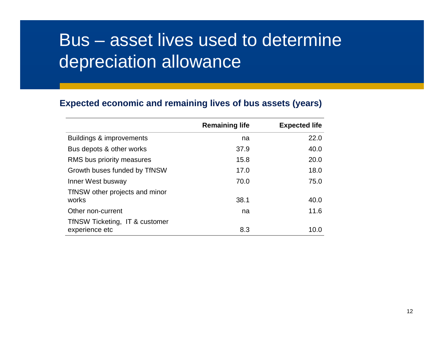## Bus – asset lives used to determine depreciation allowance

### **Expected economic and remaining lives of bus assets (years)**

|                                                  | <b>Remaining life</b> | <b>Expected life</b> |
|--------------------------------------------------|-----------------------|----------------------|
| Buildings & improvements                         | na                    | 22.0                 |
| Bus depots & other works                         | 37.9                  | 40.0                 |
| RMS bus priority measures                        | 15.8                  | 20.0                 |
| Growth buses funded by TfNSW                     | 17.0                  | 18.0                 |
| Inner West busway                                | 70.0                  | 75.0                 |
| TfNSW other projects and minor<br>works          | 38.1                  | 40.0                 |
| Other non-current                                | na                    | 11.6                 |
| TfNSW Ticketing, IT & customer<br>experience etc | 8.3                   | 10.0                 |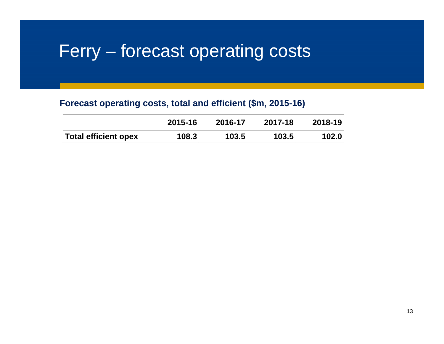## Ferry – forecast operating costs

### **Forecast operating costs, total and efficient (\$m, 2015-16)**

|                             | 2015-16 | 2016-17 | 2017-18 | 2018-19 |
|-----------------------------|---------|---------|---------|---------|
| <b>Total efficient opex</b> | 108.3   | 103.5   | 103.5   | 102.0   |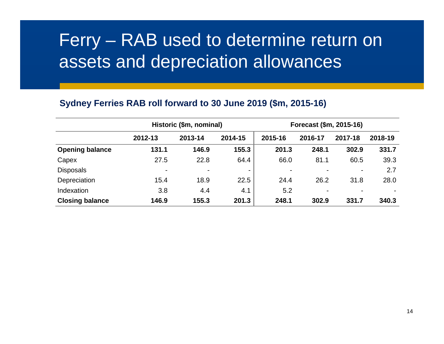## Ferry – RAB used to determine return on assets and depreciation allowances

#### **Sydney Ferries RAB roll forward to 30 June 2019 (\$m, 2015-16)**

|                        | Historic (\$m, nominal) |                          |                | Forecast (\$m, 2015-16)  |                          |         |         |
|------------------------|-------------------------|--------------------------|----------------|--------------------------|--------------------------|---------|---------|
|                        | 2012-13                 | 2013-14                  | 2014-15        | 2015-16                  | 2016-17                  | 2017-18 | 2018-19 |
| <b>Opening balance</b> | 131.1                   | 146.9                    | 155.3          | 201.3                    | 248.1                    | 302.9   | 331.7   |
| Capex                  | 27.5                    | 22.8                     | 64.4           | 66.0                     | 81.1                     | 60.5    | 39.3    |
| <b>Disposals</b>       |                         | $\overline{\phantom{0}}$ | $\blacksquare$ | $\overline{\phantom{0}}$ |                          | $\,$    | 2.7     |
| Depreciation           | 15.4                    | 18.9                     | 22.5           | 24.4                     | 26.2                     | 31.8    | 28.0    |
| Indexation             | 3.8                     | 4.4                      | 4.1            | 5.2                      | $\overline{\phantom{0}}$ |         |         |
| <b>Closing balance</b> | 146.9                   | 155.3                    | 201.3          | 248.1                    | 302.9                    | 331.7   | 340.3   |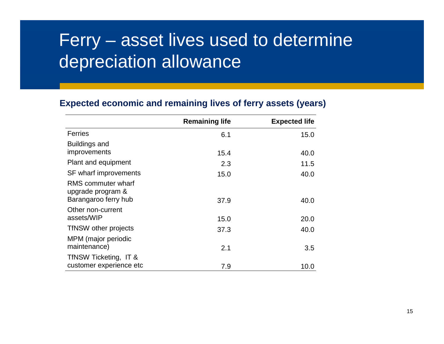## Ferry – asset lives used to determine depreciation allowance

### **Expected economic and remaining lives of ferry assets (years)**

|                                                                 | <b>Remaining life</b> | <b>Expected life</b> |
|-----------------------------------------------------------------|-----------------------|----------------------|
| <b>Ferries</b>                                                  | 6.1                   | 15.0                 |
| <b>Buildings and</b><br>improvements                            | 15.4                  | 40.0                 |
| Plant and equipment                                             | 2.3                   | 11.5                 |
| SF wharf improvements                                           | 15.0                  | 40.0                 |
| RMS commuter wharf<br>upgrade program &<br>Barangaroo ferry hub | 37.9                  | 40.0                 |
| Other non-current<br>assets/WIP                                 | 15.0                  | 20.0                 |
| <b>TfNSW</b> other projects                                     | 37.3                  | 40.0                 |
| MPM (major periodic<br>maintenance)                             | 2.1                   | 3.5                  |
| TfNSW Ticketing, IT &<br>customer experience etc                | 7.9                   | 10.0                 |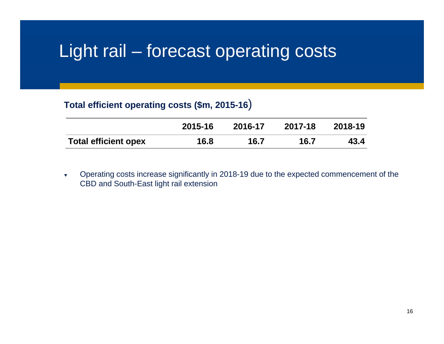## Light rail – forecast operating costs

### **Total efficient operating costs (\$m, 2015-16** )

|                             | 2015-16 | 2016-17 | 2017-18 | 2018-19 |
|-----------------------------|---------|---------|---------|---------|
| <b>Total efficient opex</b> | 16.8    | 16.7    | 16.7    | 43.4    |

 $\overline{\mathbf{v}}$  Operating costs increase significantly in 2018-19 due to the expected commencement of the CBD and South-East light rail extension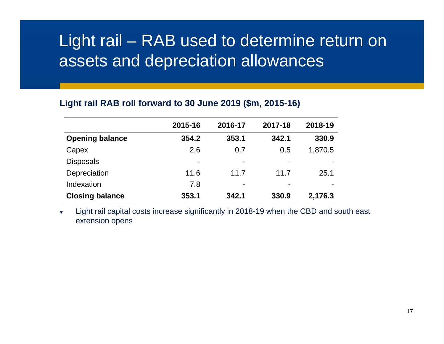## Light rail – RAB used to determine return on assets and depreciation allowances

### **Light rail RAB roll forward to 30 June 2019 (\$m, 2015-16)**

|                        | 2015-16 | 2016-17 | 2017-18 | 2018-19 |
|------------------------|---------|---------|---------|---------|
| <b>Opening balance</b> | 354.2   | 353.1   | 342.1   | 330.9   |
| Capex                  | 2.6     | 0.7     | 0.5     | 1,870.5 |
| <b>Disposals</b>       | ٠       | ۰       |         |         |
| Depreciation           | 11.6    | 11.7    | 11.7    | 25.1    |
| Indexation             | 7.8     | ۰       | -       |         |
| <b>Closing balance</b> | 353.1   | 342.1   | 330.9   | 2,176.3 |

▼ Light rail capital costs increase significantly in 2018-19 when the CBD and south east extension opens